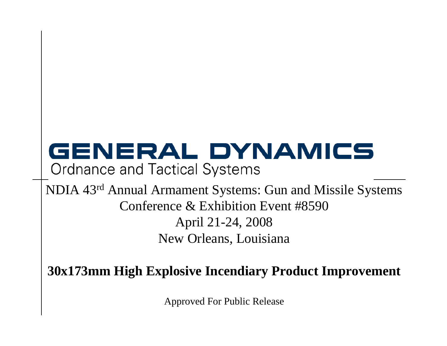# GENERAL DYNAMICS

**Ordnance and Tactical Systems** 

NDIA 43r<sup>d</sup> Annual Armament Systems: Gun and Missile Systems Conference & Exhibition Event #8590 April 21-24, 2008 New Orleans, Louisiana

**30x173mm High Explosive Incendiary Product Improvement**

Approved For Public Release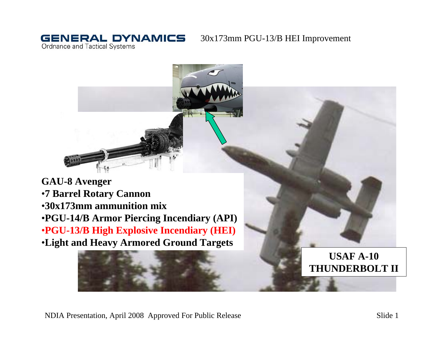**Ordnance and Tactical Systems** 

**GENERAL DYNAMICS** 



**GAU-8 Avenger** •**7 Barrel Rotary Cannon** •**30x173mm ammunition mix**•**PGU-14/B Armor Piercing Incendiary (API)** •**PGU-13/B High Explosive Incendiary (HEI)** •**Light and Heavy Armored Ground Targets**

## **USAF A-10 THUNDERBOLT II**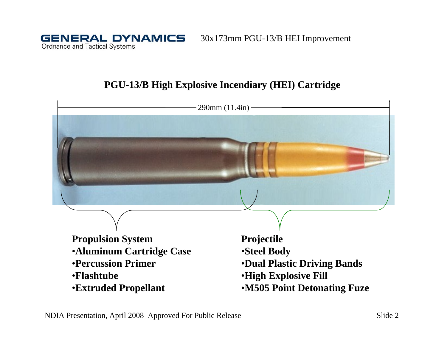**GENERAL DYNAMICS Ordnance and Tactical Systems** 

30x173mm PGU-13/B HEI Improvement

## **PGU-13/B High Explosive Incendiary (HEI) Cartridge**

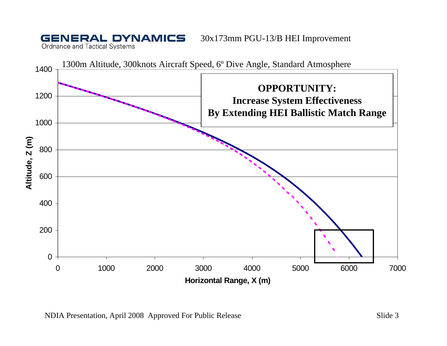**Ordnance and Tactical Systems** 

**GENERAL DYNAMICS** 

![](_page_3_Figure_2.jpeg)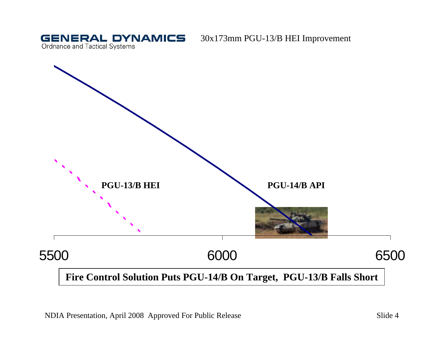**GENERAL DYNAMICS** Ordnance and Tactical Systems

![](_page_4_Figure_2.jpeg)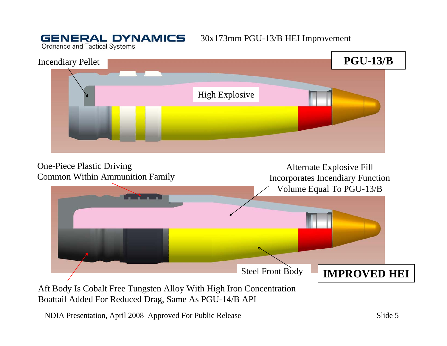**Ordnance and Tactical Systems** 

**GENERAL DYNAMICS** 

![](_page_5_Picture_2.jpeg)

![](_page_5_Figure_3.jpeg)

Aft Body Is Cobalt Free Tungsten Alloy With High Iron Concentration Boattail Added For Reduced Drag, Same As PGU-14/B API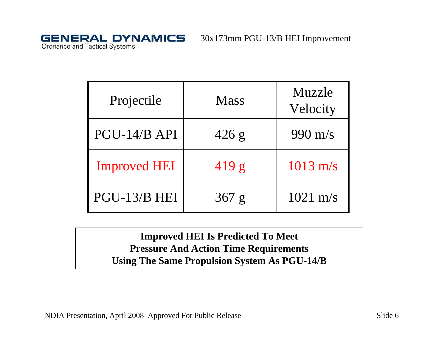**GENERAL DYNAMICS** Ordnance and Tactical Systems

| Projectile          | <b>Mass</b> | Muzzle<br>Velocity |
|---------------------|-------------|--------------------|
| PGU-14/B API        | 426 g       | 990 m/s            |
| <b>Improved HEI</b> | 419 g       | $1013$ m/s         |
| PGU-13/B HEI        | 367 g       | $1021 \text{ m/s}$ |

**Improved HEI Is Predicted To Meet Pressure And Action Time Requirements Using The Same Propulsion System As PGU-14/B**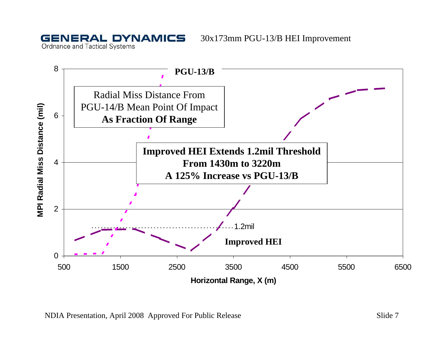**GENERAL DYNAMICS Ordnance and Tactical Systems** 

![](_page_7_Figure_2.jpeg)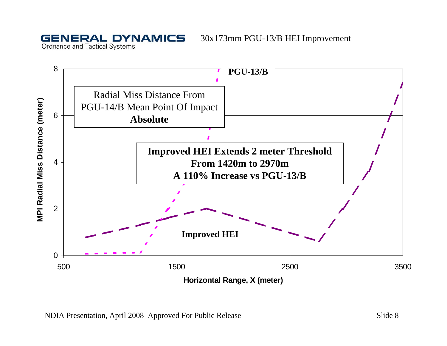**Ordnance and Tactical Systems** 

**GENERAL DYNAMICS** 

![](_page_8_Figure_2.jpeg)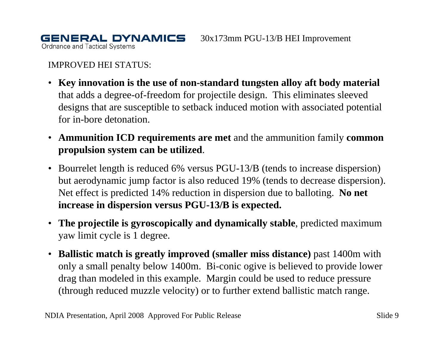**Ordnance and Tactical Systems** 

IMPROVED HEI STATUS:

**GENERAL DYNAMICS** 

- **Key innovation is the use of non-standard tungsten alloy aft body material** that adds a degree-of-freedom for projectile design. This eliminates sleeved designs that are susceptible to setback induced motion with associated potential for in-bore detonation.
- **Ammunition ICD requirements are met** and the ammunition family **common propulsion system can be utilized**.
- Bourrelet length is reduced 6% versus PGU-13/B (tends to increase dispersion) but aerodynamic jump factor is also reduced 19% (tends to decrease dispersion). Net effect is predicted 14% reduction in dispersion due to balloting. **No net increase in dispersion versus PGU-13/B is expected.**
- **The projectile is gyroscopically and dynamically stable**, predicted maximum yaw limit cycle is 1 degree.
- $\bullet$  **Ballistic match is greatly improved (smaller miss distance)** past 1400m with only a small penalty below 1400m. Bi-conic ogive is believed to provide lower drag than modeled in this example. Margin could be used to reduce pressure (through reduced muzzle velocity) or to further extend ballistic match range.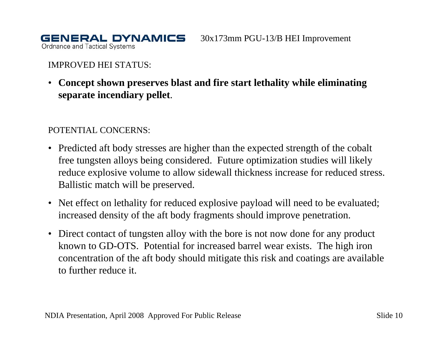**Ordnance and Tactical Systems** 

### IMPROVED HEI STATUS:

**GENERAL DYNAMICS** 

• **Concept shown preserves blast and fire start lethality while eliminating separate incendiary pellet**.

### POTENTIAL CONCERNS:

- Predicted aft body stresses are higher than the expected strength of the cobalt free tungsten alloys being considered. Future optimization studies will likely reduce explosive volume to allow sidewall thickness increase for reduced stress. Ballistic match will be preserved.
- Net effect on lethality for reduced explosive payload will need to be evaluated; increased density of the aft body fragments should improve penetration.
- Direct contact of tungsten alloy with the bore is not now done for any product known to GD-OTS. Potential for increased barrel wear exists. The high iron concentration of the aft body should mitigate this risk and coatings are available to further reduce it.